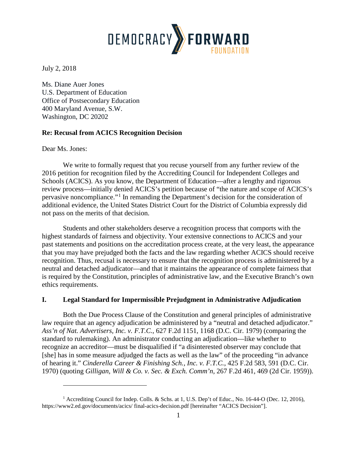

July 2, 2018

Ms. Diane Auer Jones U.S. Department of Education Office of Postsecondary Education 400 Maryland Avenue, S.W. Washington, DC 20202

## **Re: Recusal from ACICS Recognition Decision**

Dear Ms. Jones:

 $\overline{a}$ 

We write to formally request that you recuse yourself from any further review of the 2016 petition for recognition filed by the Accrediting Council for Independent Colleges and Schools (ACICS). As you know, the Department of Education—after a lengthy and rigorous review process—initially denied ACICS's petition because of "the nature and scope of ACICS's pervasive noncompliance."[1](#page-0-0) In remanding the Department's decision for the consideration of additional evidence, the United States District Court for the District of Columbia expressly did not pass on the merits of that decision.

Students and other stakeholders deserve a recognition process that comports with the highest standards of fairness and objectivity. Your extensive connections to ACICS and your past statements and positions on the accreditation process create, at the very least, the appearance that you may have prejudged both the facts and the law regarding whether ACICS should receive recognition. Thus, recusal is necessary to ensure that the recognition process is administered by a neutral and detached adjudicator—and that it maintains the appearance of complete fairness that is required by the Constitution, principles of administrative law, and the Executive Branch's own ethics requirements.

### **I. Legal Standard for Impermissible Prejudgment in Administrative Adjudication**

Both the Due Process Clause of the Constitution and general principles of administrative law require that an agency adjudication be administered by a "neutral and detached adjudicator." *Ass'n of Nat. Advertisers, Inc. v. F.T.C.*, 627 F.2d 1151, 1168 (D.C. Cir. 1979) (comparing the standard to rulemaking). An administrator conducting an adjudication—like whether to recognize an accreditor—must be disqualified if "a disinterested observer may conclude that [she] has in some measure adjudged the facts as well as the law" of the proceeding "in advance of hearing it." *Cinderella Career & Finishing Sch., Inc. v. F.T.C.*, 425 F.2d 583, 591 (D.C. Cir. 1970) (quoting *Gilligan, Will & Co. v. Sec. & Exch. Comm'n*, 267 F.2d 461, 469 (2d Cir. 1959)).

<span id="page-0-0"></span><sup>&</sup>lt;sup>1</sup> Accrediting Council for Indep. Colls. & Schs. at 1, U.S. Dep't of Educ., No. 16-44-O (Dec. 12, 2016), https://www2.ed.gov/documents/acics/ final-acics-decision.pdf [hereinafter "ACICS Decision"].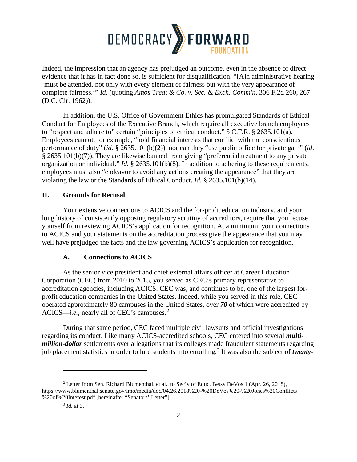

Indeed, the impression that an agency has prejudged an outcome, even in the absence of direct evidence that it has in fact done so, is sufficient for disqualification. "[A]n administrative hearing 'must be attended, not only with every element of fairness but with the very appearance of complete fairness.'" *Id.* (quoting *Amos Treat & Co. v. Sec. & Exch. Comm'n*, 306 F.2d 260, 267 (D.C. Cir. 1962)).

In addition, the U.S. Office of Government Ethics has promulgated Standards of Ethical Conduct for Employees of the Executive Branch, which require all executive branch employees to "respect and adhere to" certain "principles of ethical conduct." 5 C.F.R. § 2635.101(a). Employees cannot, for example, "hold financial interests that conflict with the conscientious performance of duty" (*id.* § 2635.101(b)(2)), nor can they "use public office for private gain" (*id*. § 2635.101(b)(7)). They are likewise banned from giving "preferential treatment to any private organization or individual." *Id.* § 2635.101(b)(8). In addition to adhering to these requirements, employees must also "endeavor to avoid any actions creating the appearance" that they are violating the law or the Standards of Ethical Conduct. *Id.* § 2635.101(b)(14).

# **II. Grounds for Recusal**

Your extensive connections to ACICS and the for-profit education industry, and your long history of consistently opposing regulatory scrutiny of accreditors, require that you recuse yourself from reviewing ACICS's application for recognition. At a minimum, your connections to ACICS and your statements on the accreditation process give the appearance that you may well have prejudged the facts and the law governing ACICS's application for recognition.

# **A. Connections to ACICS**

As the senior vice president and chief external affairs officer at Career Education Corporation (CEC) from 2010 to 2015, you served as CEC's primary representative to accreditation agencies, including ACICS. CEC was, and continues to be, one of the largest forprofit education companies in the United States. Indeed, while you served in this role, CEC operated approximately 80 campuses in the United States, over *70* of which were accredited by ACICS—*i.e.*, nearly all of CEC's campuses. [2](#page-1-0)

During that same period, CEC faced multiple civil lawsuits and official investigations regarding its conduct. Like many ACICS-accredited schools, CEC entered into several *multimillion-dollar* settlements over allegations that its colleges made fraudulent statements regarding job placement statistics in order to lure students into enrolling. [3](#page-1-1) It was also the subject of *twenty-*

 $\overline{a}$ 

<span id="page-1-1"></span><span id="page-1-0"></span><sup>&</sup>lt;sup>2</sup> Letter from Sen. Richard Blumenthal, et al., to Sec'y of Educ. Betsy DeVos 1 (Apr. 26, 2018), https://www.blumenthal.senate.gov/imo/media/doc/04.26.2018%20-%20DeVos%20-%20Jones%20Conflicts %20of%20Interest.pdf [hereinafter "Senators' Letter"].

<sup>3</sup> *Id.* at 3.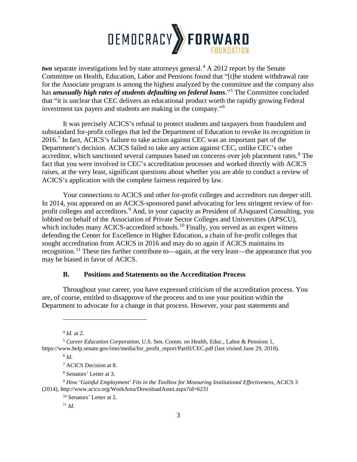

*two* separate investigations led by state attorneys general.<sup>[4](#page-2-0)</sup> A 2012 report by the Senate Committee on Health, Education, Labor and Pensions found that "[t]he student withdrawal rate for the Associate program is among the highest analyzed by the committee and the company also has *unusually high rates of students defaulting on federal loans*."[5](#page-2-1) The Committee concluded that "it is unclear that CEC delivers an educational product worth the rapidly growing Federal investment tax payers and students are making in the company."[6](#page-2-2)

It was precisely ACICS's refusal to protect students and taxpayers from fraudulent and substandard for-profit colleges that led the Department of Education to revoke its recognition in  $2016<sup>7</sup>$  $2016<sup>7</sup>$  $2016<sup>7</sup>$  In fact, ACICS's failure to take action against CEC was an important part of the Department's decision. ACICS failed to take any action against CEC, unlike CEC's other accreditor, which sanctioned several campuses based on concerns over job placement rates.<sup>[8](#page-2-4)</sup> The fact that you were involved in CEC's accreditation processes and worked directly with ACICS raises, at the very least, significant questions about whether you are able to conduct a review of ACICS's application with the complete fairness required by law.

Your connections to ACICS and other for-profit colleges and accreditors run deeper still. In 2014, you appeared on an ACICS-sponsored panel advocating for less stringent review of for-profit colleges and accreditors.<sup>[9](#page-2-5)</sup> And, in your capacity as President of AJsquared Consulting, you lobbied on behalf of the Association of Private Sector Colleges and Universities (APSCU), which includes many ACICS-accredited schools.<sup>[10](#page-2-6)</sup> Finally, you served as an expert witness defending the Center for Excellence in Higher Education, a chain of for-profit colleges that sought accreditation from ACICS in 2016 and may do so again if ACICS maintains its recognition.<sup>[11](#page-2-7)</sup> These ties further contribute to—again, at the very least—the appearance that you may be biased in favor of ACICS.

### **B. Positions and Statements on the Accreditation Process**

Throughout your career, you have expressed criticism of the accreditation process. You are, of course, entitled to disapprove of the process and to use your position within the Department to advocate for a change in that process. However, your past statements and

 $\overline{a}$ 

<sup>4</sup> *Id.* at 2.

<span id="page-2-2"></span><span id="page-2-1"></span><span id="page-2-0"></span><sup>5</sup> *Career Education Corporation*, U.S. Sen. Comm. on Health, Educ., Labor & Pensions 1, https://www.help.senate.gov/imo/media/for\_profit\_report/PartII/CEC.pdf (last visited June 29, 2018).

<sup>6</sup> *Id.*

<sup>7</sup> ACICS Decision at 8.

<sup>8</sup> Senators' Letter at 3.

<span id="page-2-7"></span><span id="page-2-6"></span><span id="page-2-5"></span><span id="page-2-4"></span><span id="page-2-3"></span><sup>9</sup> *How 'Gainful Employment' Fits in the Toolbox for Measuring Institutional Effectiveness*, ACICS 3 (2014), http://www.acics.org/WorkArea/DownloadAsset.aspx?id=6231

<sup>10</sup> Senators' Letter at 2.

 $11 \, \text{Id}$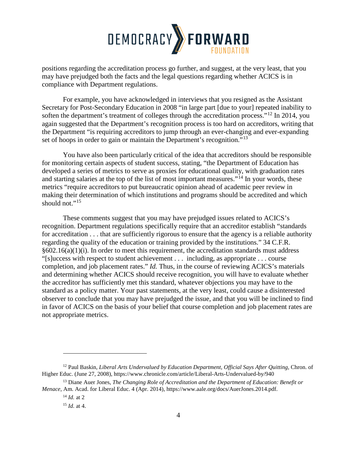

positions regarding the accreditation process go further, and suggest, at the very least, that you may have prejudged both the facts and the legal questions regarding whether ACICS is in compliance with Department regulations.

For example, you have acknowledged in interviews that you resigned as the Assistant Secretary for Post-Secondary Education in 2008 "in large part [due to your] repeated inability to soften the department's treatment of colleges through the accreditation process."<sup>[12](#page-3-0)</sup> In 2014, you again suggested that the Department's recognition process is too hard on accreditors, writing that the Department "is requiring accreditors to jump through an ever-changing and ever-expanding set of hoops in order to gain or maintain the Department's recognition.<sup>"[13](#page-3-1)</sup>

You have also been particularly critical of the idea that accreditors should be responsible for monitoring certain aspects of student success, stating, "the Department of Education has developed a series of metrics to serve as proxies for educational quality, with graduation rates and starting salaries at the top of the list of most important measures."<sup>[14](#page-3-2)</sup> In your words, these metrics "require accreditors to put bureaucratic opinion ahead of academic peer review in making their determination of which institutions and programs should be accredited and which should not." $15$ 

These comments suggest that you may have prejudged issues related to ACICS's recognition. Department regulations specifically require that an accreditor establish "standards for accreditation . . . that are sufficiently rigorous to ensure that the agency is a reliable authority regarding the quality of the education or training provided by the institutions." 34 C.F.R.  $§602.16(a)(1)(i)$ . In order to meet this requirement, the accreditation standards must address "[s]uccess with respect to student achievement . . . including, as appropriate . . . course completion, and job placement rates." *Id.* Thus, in the course of reviewing ACICS's materials and determining whether ACICS should receive recognition, you will have to evaluate whether the accreditor has sufficiently met this standard, whatever objections you may have to the standard as a policy matter. Your past statements, at the very least, could cause a disinterested observer to conclude that you may have prejudged the issue, and that you will be inclined to find in favor of ACICS on the basis of your belief that course completion and job placement rates are not appropriate metrics.

 $\overline{a}$ 

<span id="page-3-0"></span><sup>12</sup> Paul Baskin, *Liberal Arts Undervalued by Education Department, Official Says After Quitting*, Chron. of Higher Educ. (June 27, 2008), https://www.chronicle.com/article/Liberal-Arts-Undervalued-by/940

<span id="page-3-3"></span><span id="page-3-2"></span><span id="page-3-1"></span><sup>&</sup>lt;sup>13</sup> Diane Auer Jones, *The Changing Role of Accreditation and the Department of Education: Benefit or Menace*, Am. Acad. for Liberal Educ. 4 (Apr. 2014), https://www.aale.org/docs/AuerJones.2014.pdf.

<sup>14</sup> *Id.* at 2

 $15$  *Id.* at 4.